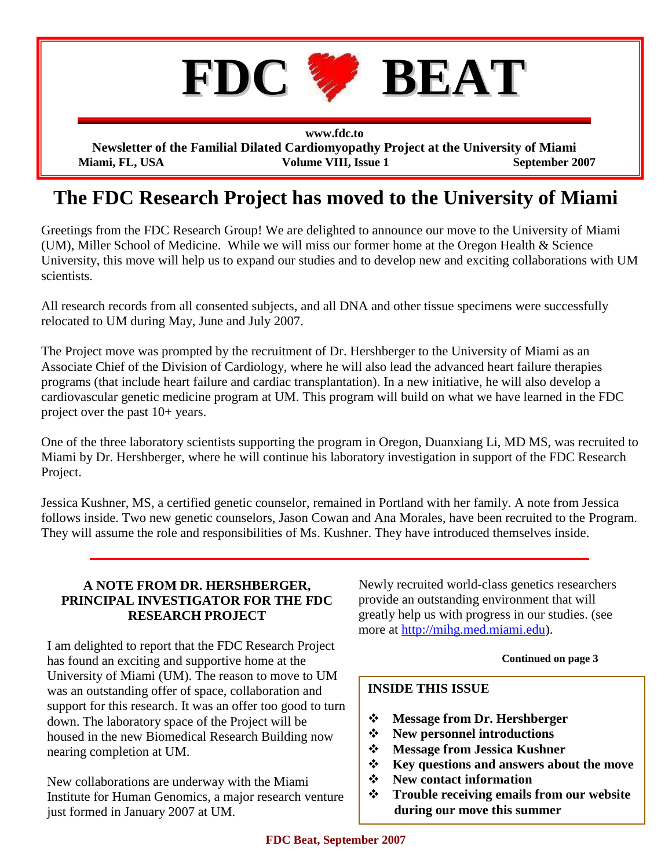

**www.fdc.to Newsletter of the Familial Dilated Cardiomyopathy Project at the University of Miami Miami, FL, USA** Volume VIII, Issue 1 September 2007

# **The FDC Research Project has moved to the University of Miami**

Greetings from the FDC Research Group! We are delighted to announce our move to the University of Miami (UM), Miller School of Medicine. While we will miss our former home at the Oregon Health & Science University, this move will help us to expand our studies and to develop new and exciting collaborations with UM scientists.

All research records from all consented subjects, and all DNA and other tissue specimens were successfully relocated to UM during May, June and July 2007.

The Project move was prompted by the recruitment of Dr. Hershberger to the University of Miami as an Associate Chief of the Division of Cardiology, where he will also lead the advanced heart failure therapies programs (that include heart failure and cardiac transplantation). In a new initiative, he will also develop a cardiovascular genetic medicine program at UM. This program will build on what we have learned in the FDC project over the past 10+ years.

One of the three laboratory scientists supporting the program in Oregon, Duanxiang Li, MD MS, was recruited to Miami by Dr. Hershberger, where he will continue his laboratory investigation in support of the FDC Research Project.

Jessica Kushner, MS, a certified genetic counselor, remained in Portland with her family. A note from Jessica follows inside. Two new genetic counselors, Jason Cowan and Ana Morales, have been recruited to the Program. They will assume the role and responsibilities of Ms. Kushner. They have introduced themselves inside.

## **A NOTE FROM DR. HERSHBERGER, PRINCIPAL INVESTIGATOR FOR THE FDC RESEARCH PROJECT**

I am delighted to report that the FDC Research Project has found an exciting and supportive home at the University of Miami (UM). The reason to move to UM was an outstanding offer of space, collaboration and support for this research. It was an offer too good to turn down. The laboratory space of the Project will be housed in the new Biomedical Research Building now nearing completion at UM.

New collaborations are underway with the Miami Institute for Human Genomics, a major research venture just formed in January 2007 at UM.

Newly recruited world-class genetics researchers provide an outstanding environment that will greatly help us with progress in our studies. (see more at [http://mihg.med.miami.edu\)](http://mihg.med.miami.edu/).

### **Continued on page 3**

# **INSIDE THIS ISSUE**

- **Message from Dr. Hershberger**
- **New personnel introductions**
- **Message from Jessica Kushner**
- **Key questions and answers about the move**
- **New contact information**
- **Trouble receiving emails from our website during our move this summer**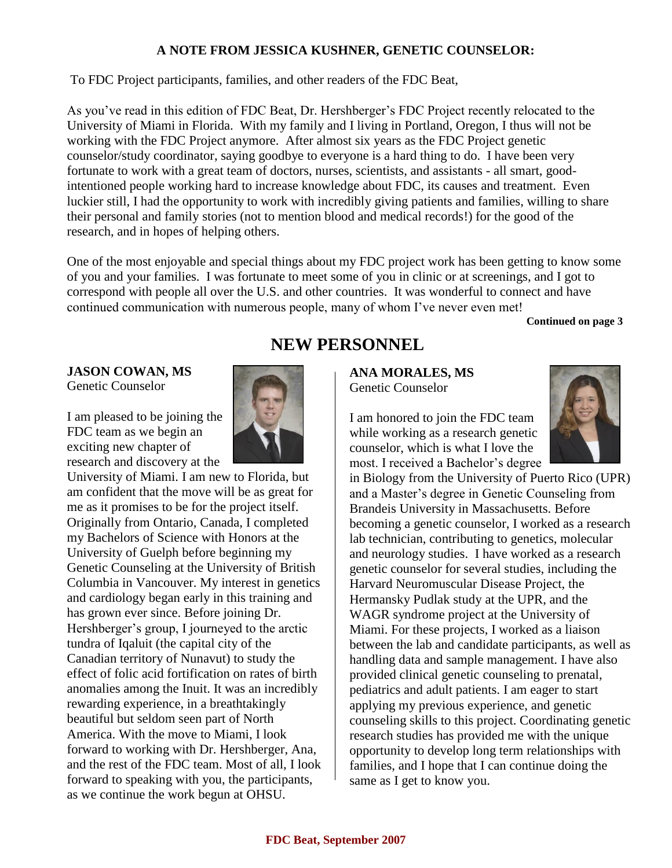# **A NOTE FROM JESSICA KUSHNER, GENETIC COUNSELOR:**

To FDC Project participants, families, and other readers of the FDC Beat,

As you've read in this edition of FDC Beat, Dr. Hershberger's FDC Project recently relocated to the University of Miami in Florida. With my family and I living in Portland, Oregon, I thus will not be working with the FDC Project anymore. After almost six years as the FDC Project genetic counselor/study coordinator, saying goodbye to everyone is a hard thing to do. I have been very fortunate to work with a great team of doctors, nurses, scientists, and assistants - all smart, goodintentioned people working hard to increase knowledge about FDC, its causes and treatment. Even luckier still, I had the opportunity to work with incredibly giving patients and families, willing to share their personal and family stories (not to mention blood and medical records!) for the good of the research, and in hopes of helping others.

One of the most enjoyable and special things about my FDC project work has been getting to know some of you and your families. I was fortunate to meet some of you in clinic or at screenings, and I got to correspond with people all over the U.S. and other countries. It was wonderful to connect and have continued communication with numerous people, many of whom I've never even met!

**Continued on page 3**

**JASON COWAN, MS** Genetic Counselor

I am pleased to be joining the FDC team as we begin an exciting new chapter of research and discovery at the



University of Miami. I am new to Florida, but am confident that the move will be as great for me as it promises to be for the project itself. Originally from Ontario, Canada, I completed my Bachelors of Science with Honors at the University of Guelph before beginning my Genetic Counseling at the University of British Columbia in Vancouver. My interest in genetics and cardiology began early in this training and has grown ever since. Before joining Dr. Hershberger's group, I journeyed to the arctic tundra of Iqaluit (the capital city of the Canadian territory of Nunavut) to study the effect of folic acid fortification on rates of birth anomalies among the Inuit. It was an incredibly rewarding experience, in a breathtakingly beautiful but seldom seen part of North America. With the move to Miami, I look forward to working with Dr. Hershberger, Ana, and the rest of the FDC team. Most of all, I look forward to speaking with you, the participants, as we continue the work begun at OHSU.

# **NEW PERSONNEL**

**ANA MORALES, MS** Genetic Counselor

I am honored to join the FDC team while working as a research genetic counselor, which is what I love the most. I received a Bachelor's degree



in Biology from the University of Puerto Rico (UPR) and a Master's degree in Genetic Counseling from Brandeis University in Massachusetts. Before becoming a genetic counselor, I worked as a research lab technician, contributing to genetics, molecular and neurology studies. I have worked as a research genetic counselor for several studies, including the Harvard Neuromuscular Disease Project, the Hermansky Pudlak study at the UPR, and the WAGR syndrome project at the University of Miami. For these projects, I worked as a liaison between the lab and candidate participants, as well as handling data and sample management. I have also provided clinical genetic counseling to prenatal, pediatrics and adult patients. I am eager to start applying my previous experience, and genetic counseling skills to this project. Coordinating genetic research studies has provided me with the unique opportunity to develop long term relationships with families, and I hope that I can continue doing the same as I get to know you.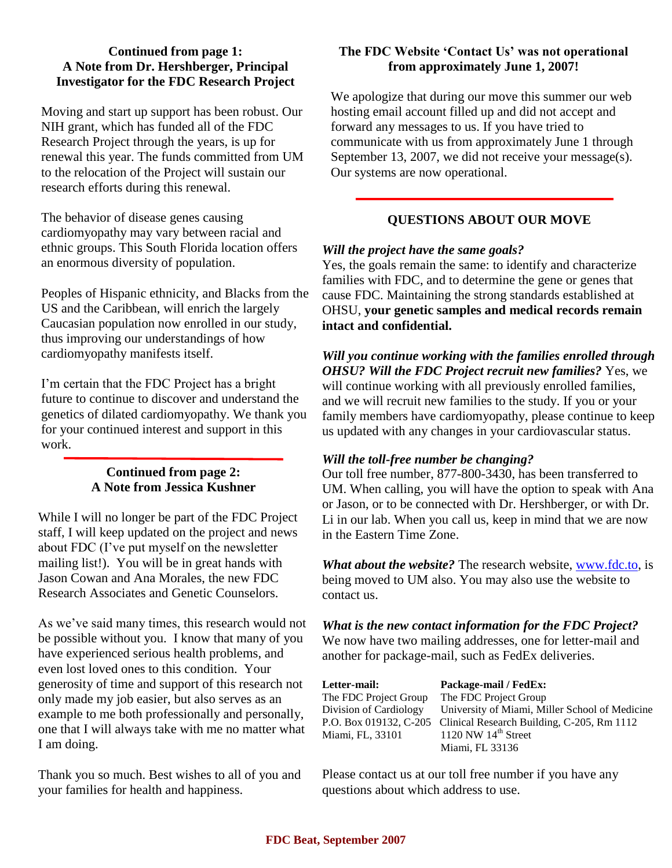## **Continued from page 1: A Note from Dr. Hershberger, Principal Investigator for the FDC Research Project**

Moving and start up support has been robust. Our NIH grant, which has funded all of the FDC Research Project through the years, is up for renewal this year. The funds committed from UM to the relocation of the Project will sustain our research efforts during this renewal.

The behavior of disease genes causing cardiomyopathy may vary between racial and ethnic groups. This South Florida location offers an enormous diversity of population.

Peoples of Hispanic ethnicity, and Blacks from the US and the Caribbean, will enrich the largely Caucasian population now enrolled in our study, thus improving our understandings of how cardiomyopathy manifests itself.

I'm certain that the FDC Project has a bright future to continue to discover and understand the genetics of dilated cardiomyopathy. We thank you for your continued interest and support in this work.

## **Continued from page 2: A Note from Jessica Kushner**

While I will no longer be part of the FDC Project staff, I will keep updated on the project and news about FDC (I've put myself on the newsletter mailing list!). You will be in great hands with Jason Cowan and Ana Morales, the new FDC Research Associates and Genetic Counselors.

As we've said many times, this research would not be possible without you. I know that many of you have experienced serious health problems, and even lost loved ones to this condition. Your generosity of time and support of this research not only made my job easier, but also serves as an example to me both professionally and personally, one that I will always take with me no matter what I am doing.

Thank you so much. Best wishes to all of you and your families for health and happiness.

## **The FDC Website "Contact Us" was not operational from approximately June 1, 2007!**

We apologize that during our move this summer our web hosting email account filled up and did not accept and forward any messages to us. If you have tried to communicate with us from approximately June 1 through September 13, 2007, we did not receive your message(s). Our systems are now operational.

# **QUESTIONS ABOUT OUR MOVE**

## *Will the project have the same goals?*

Yes, the goals remain the same: to identify and characterize families with FDC, and to determine the gene or genes that cause FDC. Maintaining the strong standards established at OHSU, **your genetic samples and medical records remain intact and confidential.**

*Will you continue working with the families enrolled through OHSU? Will the FDC Project recruit new families?* Yes, we will continue working with all previously enrolled families, and we will recruit new families to the study. If you or your family members have cardiomyopathy, please continue to keep us updated with any changes in your cardiovascular status.

# *Will the toll-free number be changing?*

Our toll free number, 877-800-3430, has been transferred to UM. When calling, you will have the option to speak with Ana or Jason, or to be connected with Dr. Hershberger, or with Dr. Li in our lab. When you call us, keep in mind that we are now in the Eastern Time Zone.

*What about the website?* The research website, [www.fdc.to,](http://www.fdc.to) is being moved to UM also. You may also use the website to contact us.

*What is the new contact information for the FDC Project?* We now have two mailing addresses, one for letter-mail and another for package-mail, such as FedEx deliveries.

**Letter-mail: Package-mail / FedEx:** The FDC Project Group The FDC Project Group Miami, FL, 33101 1120 NW 14<sup>th</sup> Street

Division of Cardiology University of Miami, Miller School of Medicine P.O. Box 019132, C-205 Clinical Research Building, C-205, Rm 1112 Miami, FL 33136

Please contact us at our toll free number if you have any questions about which address to use.